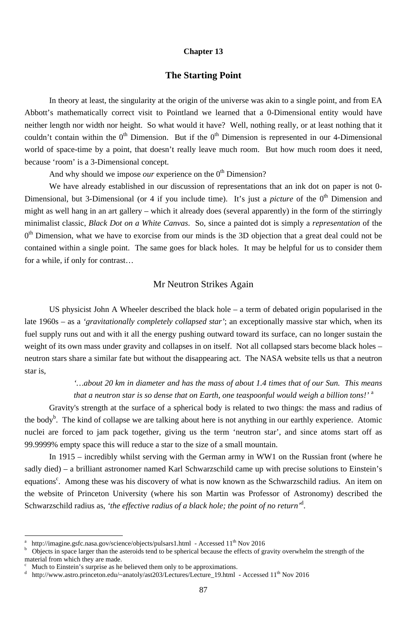#### **Chapter 13**

#### **The Starting Point**

In theory at least, the singularity at the origin of the universe was akin to a single point, and from EA Abbott's mathematically correct visit to Pointland we learned that a 0-Dimensional entity would have neither length nor width nor height. So what would it have? Well, nothing really, or at least nothing that it couldn't contain within the  $0^{th}$  Dimension. But if the  $0^{th}$  Dimension is represented in our 4-Dimensional world of space-time by a point, that doesn't really leave much room. But how much room does it need, because 'room' is a 3-Dimensional concept.

And why should we impose *our* experience on the  $0<sup>th</sup>$  Dimension?

*'…about 20 km in diameter and has the mass of about 1.4 times that of our Sun. This means that a neutron star is so dense that on Earth, one teaspoonful would weigh a billion tons!'* <sup>a</sup>

We have already established in our discussion of representations that an ink dot on paper is not 0- Dimensional, but 3-Dimensional (or 4 if you include time). It's just a *picture* of the 0<sup>th</sup> Dimension and might as well hang in an art gallery – which it already does (several apparently) in the form of the stirringly minimalist classic, *Black Dot on a White Canvas*. So, since a painted dot is simply a *representation* of the  $0<sup>th</sup>$  Dimension, what we have to exorcise from our minds is the 3D objection that a great deal could not be contained within a single point. The same goes for black holes. It may be helpful for us to consider them for a while, if only for contrast…

# Mr Neutron Strikes Again

US physicist John A Wheeler described the black hole – a term of debated origin popularised in the late 1960s – as a *'gravitationally completely collapsed star'*; an exceptionally massive star which, when its fuel supply runs out and with it all the energy pushing outward toward its surface, can no longer sustain the weight of its own mass under gravity and collapses in on itself. Not all collapsed stars become black holes – neutron stars share a similar fate but without the disappearing act. The NASA website tells us that a neutron star is,

Gravity's strength at the surface of a spherical body is related to two things: the mass and radius of the body<sup>b</sup>. The kind of collapse we are talking about here is not anything in our earthly experience. Atomic nuclei are forced to jam pack together, giving us the term 'neutron star', and since atoms start off as 99.9999% empty space this will reduce a star to the size of a small mountain.

In 1915 – incredibly whilst serving with the German army in WW1 on the Russian front (where he

sadly died) – a brilliant astronomer named Karl Schwarzschild came up with precise solutions to Einstein's equations<sup>c</sup>. Among these was his discovery of what is now known as the Schwarzschild radius. An item on the website of Princeton University (where his son Martin was Professor of Astronomy) described the Schwarzschild radius as, *'the effective radius of a black hole; the point of no return'*<sup>d</sup> .

<sup>87</sup>

d http://www.astro.princeton.edu/~anatoly/ast203/Lectures/Lecture\_19.html - Accessed 11<sup>th</sup> Nov 2016

<sup>&</sup>lt;sup>-</sup> a http://imagine.gsfc.nasa.gov/science/objects/pulsars1.html - Accessed 11<sup>th</sup> Nov 2016

b Objects in space larger than the asteroids tend to be spherical because the effects of gravity overwhelm the strength of the material from which they are made.

c Much to Einstein's surprise as he believed them only to be approximations.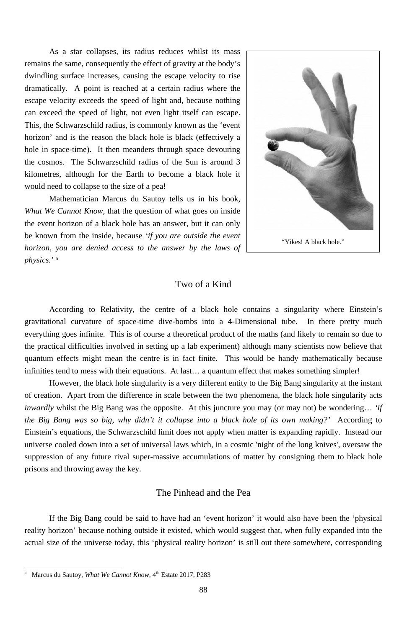As a star collapses, its radius reduces whilst its mass remains the same, consequently the effect of gravity at the body's dwindling surface increases, causing the escape velocity to rise dramatically. A point is reached at a certain radius where the escape velocity exceeds the speed of light and, because nothing can exceed the speed of light, not even light itself can escape. This, the Schwarzschild radius, is commonly known as the 'event horizon' and is the reason the black hole is black (effectively a hole in space-time). It then meanders through space devouring the cosmos. The Schwarzschild radius of the Sun is around 3 kilometres, although for the Earth to become a black hole it would need to collapse to the size of a pea!

Mathematician Marcus du Sautoy tells us in his book, *What We Cannot Know*, that the question of what goes on inside the event horizon of a black hole has an answer, but it can only be known from the inside, because *'if you are outside the event horizon, you are denied access to the answer by the laws of physics.'* <sup>a</sup>

### Two of a Kind

According to Relativity, the centre of a black hole contains a singularity where Einstein's gravitational curvature of space-time dive-bombs into a 4-Dimensional tube. In there pretty much everything goes infinite. This is of course a theoretical product of the maths (and likely to remain so due to the practical difficulties involved in setting up a lab experiment) although many scientists now believe that quantum effects might mean the centre is in fact finite. This would be handy mathematically because infinities tend to mess with their equations. At last… a quantum effect that makes something simpler!

However, the black hole singularity is a very different entity to the Big Bang singularity at the instant of creation. Apart from the difference in scale between the two phenomena, the black hole singularity acts *inwardly* whilst the Big Bang was the opposite. At this juncture you may (or may not) be wondering… *'if the Big Bang was so big, why didn't it collapse into a black hole of its own making?'* According to Einstein's equations, the Schwarzschild limit does not apply when matter is expanding rapidly. Instead our universe cooled down into a set of universal laws which, in a cosmic 'night of the long knives', oversaw the suppression of any future rival super-massive accumulations of matter by consigning them to black hole

prisons and throwing away the key.

-

## The Pinhead and the Pea

If the Big Bang could be said to have had an 'event horizon' it would also have been the 'physical reality horizon' because nothing outside it existed, which would suggest that, when fully expanded into the actual size of the universe today, this 'physical reality horizon' is still out there somewhere, corresponding



<sup>88</sup>

a Marcus du Sautoy, *What We Cannot Know*, 4<sup>th</sup> Estate 2017, P283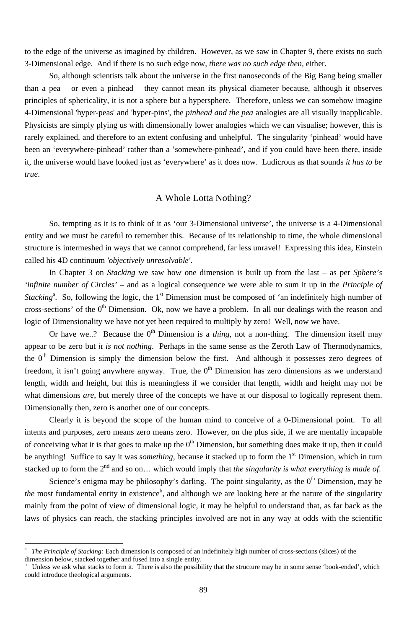89

to the edge of the universe as imagined by children. However, as we saw in Chapter 9, there exists no such 3-Dimensional edge. And if there is no such edge now, *there was no such edge then,* either.

So, although scientists talk about the universe in the first nanoseconds of the Big Bang being smaller than a pea – or even a pinhead – they cannot mean its physical diameter because, although it observes principles of sphericality, it is not a sphere but a hypersphere. Therefore, unless we can somehow imagine 4-Dimensional 'hyper-peas' and 'hyper-pins', the *pinhead and the pea* analogies are all visually inapplicable. Physicists are simply plying us with dimensionally lower analogies which we can visualise; however, this is rarely explained, and therefore to an extent confusing and unhelpful. The singularity 'pinhead' would have been an 'everywhere-pinhead' rather than a 'somewhere-pinhead', and if you could have been there, inside it, the universe would have looked just as 'everywhere' as it does now. Ludicrous as that sounds *it has to be true*.

## A Whole Lotta Nothing?

So, tempting as it is to think of it as 'our 3-Dimensional universe', the universe is a 4-Dimensional entity and we must be careful to remember this. Because of its relationship to time, the whole dimensional structure is intermeshed in ways that we cannot comprehend, far less unravel! Expressing this idea, Einstein called his 4D continuum *'objectively unresolvable'*.

Or have we..? Because the  $0^{th}$  Dimension is a *thing*, not a non-thing. The dimension itself may appear to be zero but *it is not nothing*. Perhaps in the same sense as the Zeroth Law of Thermodynamics, the  $0<sup>th</sup>$  Dimension is simply the dimension below the first. And although it possesses zero degrees of freedom, it isn't going anywhere anyway. True, the  $0<sup>th</sup>$  Dimension has zero dimensions as we understand length, width and height, but this is meaningless if we consider that length, width and height may not be what dimensions *are*, but merely three of the concepts we have at our disposal to logically represent them. Dimensionally then, zero is another one of our concepts.

Clearly it is beyond the scope of the human mind to conceive of a 0-Dimensional point. To all intents and purposes, zero means zero means zero. However, on the plus side, if we are mentally incapable of conceiving what it is that goes to make up the  $0<sup>th</sup>$  Dimension, but something does make it up, then it could be anything! Suffice to say it was *something*, because it stacked up to form the 1<sup>st</sup> Dimension, which in turn

In Chapter 3 on *Stacking* we saw how one dimension is built up from the last – as per *Sphere's 'infinite number of Circles'* – and as a logical consequence we were able to sum it up in the *Principle of Stacking*<sup>a</sup>. So, following the logic, the 1<sup>st</sup> Dimension must be composed of 'an indefinitely high number of cross-sections' of the  $0<sup>th</sup>$  Dimension. Ok, now we have a problem. In all our dealings with the reason and logic of Dimensionality we have not yet been required to multiply by zero! Well, now we have.

stacked up to form the 2<sup>nd</sup> and so on... which would imply that *the singularity is what everything is made of*. Science's enigma may be philosophy's darling. The point singularity, as the  $0<sup>th</sup>$  Dimension, may be *the* most fundamental entity in existence<sup>b</sup>, and although we are looking here at the nature of the singularity mainly from the point of view of dimensional logic, it may be helpful to understand that, as far back as the laws of physics can reach, the stacking principles involved are not in any way at odds with the scientific

-

a *The Principle of Stacking:* Each dimension is composed of an indefinitely high number of cross-sections (slices) of the dimension below, stacked together and fused into a single entity.

b Unless we ask what stacks to form it. There is also the possibility that the structure may be in some sense 'book-ended', which could introduce theological arguments.